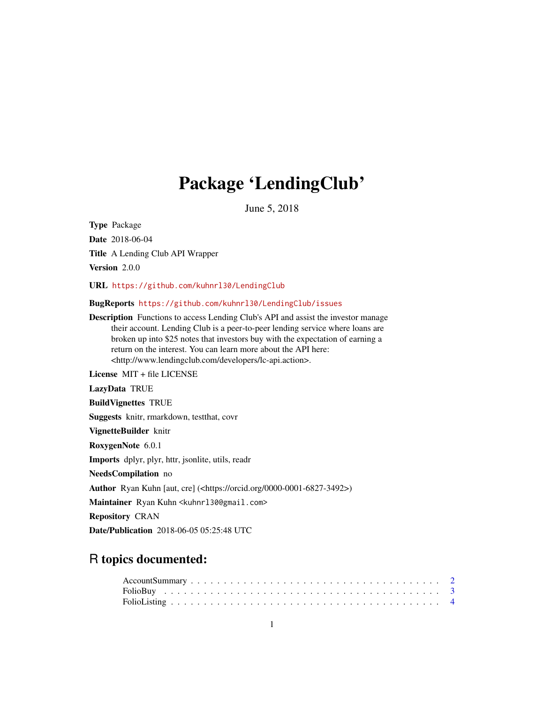## Package 'LendingClub'

June 5, 2018

Type Package Date 2018-06-04 Title A Lending Club API Wrapper Version 2.0.0 URL <https://github.com/kuhnrl30/LendingClub> BugReports <https://github.com/kuhnrl30/LendingClub/issues> Description Functions to access Lending Club's API and assist the investor manage their account. Lending Club is a peer-to-peer lending service where loans are broken up into \$25 notes that investors buy with the expectation of earning a return on the interest. You can learn more about the API here: <http://www.lendingclub.com/developers/lc-api.action>. License MIT + file LICENSE LazyData TRUE BuildVignettes TRUE Suggests knitr, rmarkdown, testthat, covr VignetteBuilder knitr RoxygenNote 6.0.1 Imports dplyr, plyr, httr, jsonlite, utils, readr NeedsCompilation no Author Ryan Kuhn [aut, cre] (<https://orcid.org/0000-0001-6827-3492>) Maintainer Ryan Kuhn <kuhnrl30@gmail.com> Repository CRAN

Date/Publication 2018-06-05 05:25:48 UTC

### R topics documented: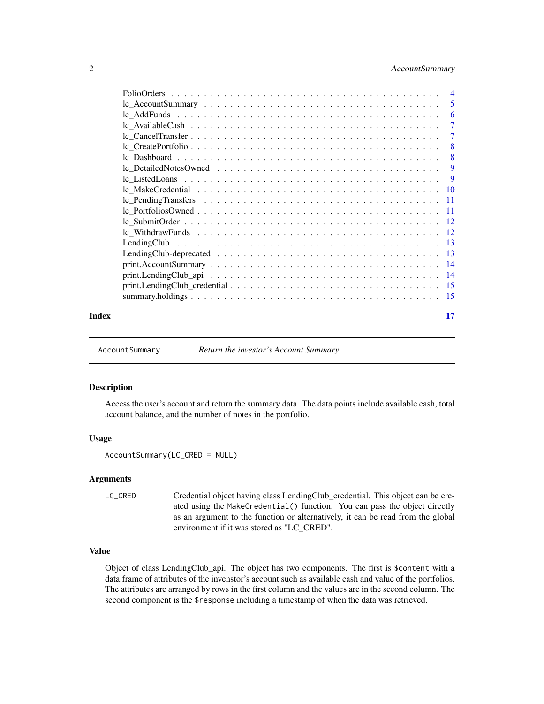#### <span id="page-1-0"></span>2 AccountSummary

| Index | 17 |
|-------|----|

AccountSummary *Return the investor's Account Summary*

#### Description

Access the user's account and return the summary data. The data points include available cash, total account balance, and the number of notes in the portfolio.

#### Usage

AccountSummary(LC\_CRED = NULL)

#### Arguments

LC\_CRED Credential object having class LendingClub\_credential. This object can be created using the MakeCredential() function. You can pass the object directly as an argument to the function or alternatively, it can be read from the global environment if it was stored as "LC\_CRED".

#### Value

Object of class LendingClub\_api. The object has two components. The first is \$content with a data.frame of attributes of the invenstor's account such as available cash and value of the portfolios. The attributes are arranged by rows in the first column and the values are in the second column. The second component is the \$response including a timestamp of when the data was retrieved.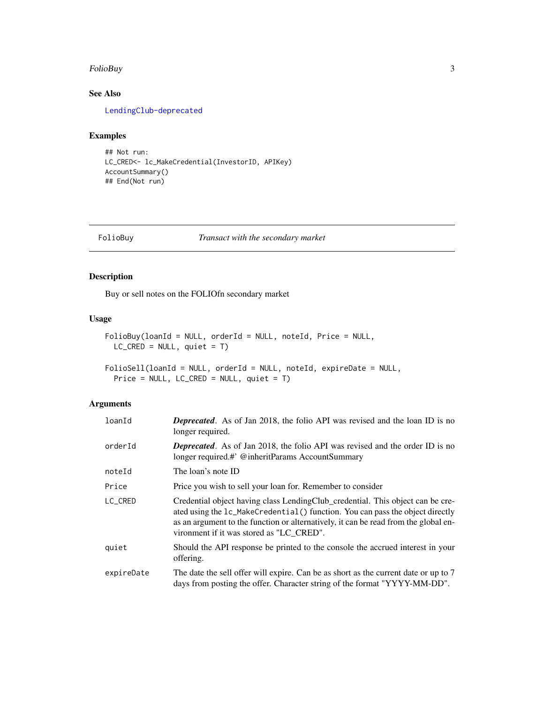#### <span id="page-2-0"></span>FolioBuy 3 and 3 and 3 and 3 and 3 and 3 and 3 and 3 and 3 and 3 and 3 and 3 and 3 and 3 and 3 and 3 and 3 and 3 and 3 and 3 and 3 and 3 and 3 and 3 and 3 and 3 and 3 and 3 and 3 and 3 and 3 and 3 and 3 and 3 and 3 and 3 a

#### See Also

[LendingClub-deprecated](#page-12-1)

#### Examples

```
## Not run:
LC_CRED<- lc_MakeCredential(InvestorID, APIKey)
AccountSummary()
## End(Not run)
```
#### FolioBuy *Transact with the secondary market*

#### Description

Buy or sell notes on the FOLIOfn secondary market

#### Usage

```
FolioBuy(loanId = NULL, orderId = NULL, noteId, Price = NULL,
 LC_CRED = NULL, quiet = T)
```

```
FolioSell(loanId = NULL, orderId = NULL, noteId, expireDate = NULL,
 Price = NULL, LC_CRED = NULL, quiet = T)
```

| loanId     | <b>Deprecated.</b> As of Jan 2018, the folio API was revised and the loan ID is no<br>longer required.                                                                                                                                                                                             |
|------------|----------------------------------------------------------------------------------------------------------------------------------------------------------------------------------------------------------------------------------------------------------------------------------------------------|
| orderId    | <b>Deprecated.</b> As of Jan 2018, the folio API was revised and the order ID is no<br>longer required.#' @inheritParams AccountSummary                                                                                                                                                            |
| noteId     | The loan's note ID                                                                                                                                                                                                                                                                                 |
| Price      | Price you wish to sell your loan for. Remember to consider                                                                                                                                                                                                                                         |
| LC_CRED    | Credential object having class LendingClub_credential. This object can be cre-<br>ated using the 1c_MakeCredential() function. You can pass the object directly<br>as an argument to the function or alternatively, it can be read from the global en-<br>vironment if it was stored as "LC CRED". |
| quiet      | Should the API response be printed to the console the accrued interest in your<br>offering.                                                                                                                                                                                                        |
| expireDate | The date the sell offer will expire. Can be as short as the current date or up to 7<br>days from posting the offer. Character string of the format "YYYY-MM-DD".                                                                                                                                   |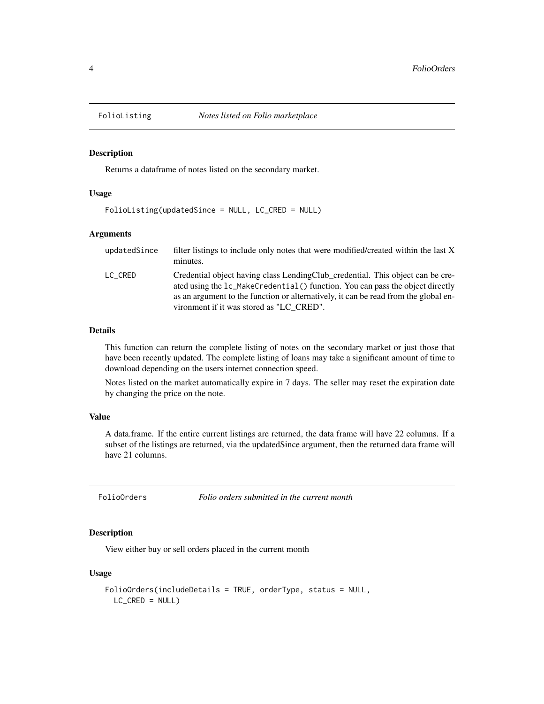<span id="page-3-0"></span>

Returns a dataframe of notes listed on the secondary market.

#### Usage

FolioListing(updatedSince = NULL, LC\_CRED = NULL)

#### Arguments

| updatedSince | filter listings to include only notes that were modified/created within the last X<br>minutes.                                                                                                                                                                                                     |
|--------------|----------------------------------------------------------------------------------------------------------------------------------------------------------------------------------------------------------------------------------------------------------------------------------------------------|
| LC CRED      | Credential object having class LendingClub_credential. This object can be cre-<br>ated using the 1c_MakeCredential() function. You can pass the object directly<br>as an argument to the function or alternatively, it can be read from the global en-<br>vironment if it was stored as "LC CRED". |

#### Details

This function can return the complete listing of notes on the secondary market or just those that have been recently updated. The complete listing of loans may take a significant amount of time to download depending on the users internet connection speed.

Notes listed on the market automatically expire in 7 days. The seller may reset the expiration date by changing the price on the note.

#### Value

A data.frame. If the entire current listings are returned, the data frame will have 22 columns. If a subset of the listings are returned, via the updatedSince argument, then the returned data frame will have 21 columns.

FolioOrders *Folio orders submitted in the current month*

#### Description

View either buy or sell orders placed in the current month

#### Usage

```
FolioOrders(includeDetails = TRUE, orderType, status = NULL,
 LC_CRED = NULL
```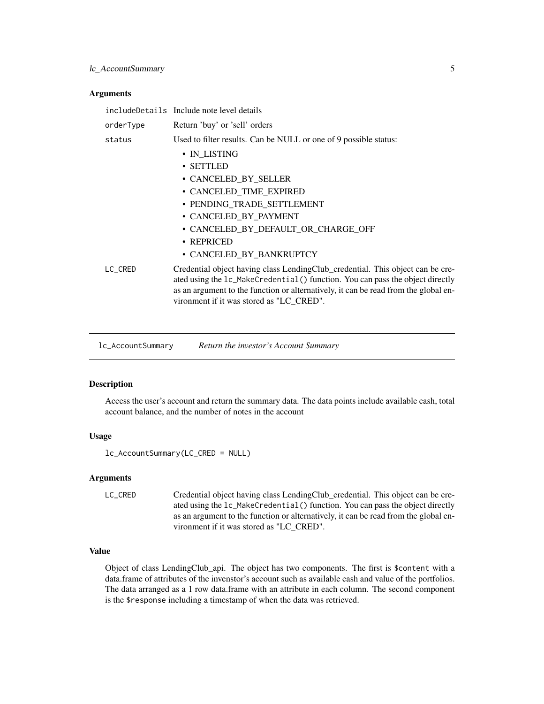#### <span id="page-4-0"></span>lc\_AccountSummary 5

#### **Arguments**

|           | includeDetails Include note level details                                                                                                                                                                                                                                                          |
|-----------|----------------------------------------------------------------------------------------------------------------------------------------------------------------------------------------------------------------------------------------------------------------------------------------------------|
| orderType | Return 'buy' or 'sell' orders                                                                                                                                                                                                                                                                      |
| status    | Used to filter results. Can be NULL or one of 9 possible status:                                                                                                                                                                                                                                   |
|           | • IN LISTING                                                                                                                                                                                                                                                                                       |
|           | • SETTLED                                                                                                                                                                                                                                                                                          |
|           | • CANCELED_BY_SELLER                                                                                                                                                                                                                                                                               |
|           | · CANCELED_TIME_EXPIRED                                                                                                                                                                                                                                                                            |
|           | • PENDING TRADE SETTLEMENT                                                                                                                                                                                                                                                                         |
|           | • CANCELED_BY_PAYMENT                                                                                                                                                                                                                                                                              |
|           | • CANCELED BY DEFAULT OR CHARGE OFF                                                                                                                                                                                                                                                                |
|           | $\cdot$ REPRICED                                                                                                                                                                                                                                                                                   |
|           | • CANCELED BY BANKRUPTCY                                                                                                                                                                                                                                                                           |
| LC_CRED   | Credential object having class LendingClub_credential. This object can be cre-<br>ated using the 1c_MakeCredential() function. You can pass the object directly<br>as an argument to the function or alternatively, it can be read from the global en-<br>vironment if it was stored as "LC_CRED". |
|           |                                                                                                                                                                                                                                                                                                    |

<span id="page-4-1"></span>lc\_AccountSummary *Return the investor's Account Summary*

#### Description

Access the user's account and return the summary data. The data points include available cash, total account balance, and the number of notes in the account

#### Usage

```
lc_AccountSummary(LC_CRED = NULL)
```
#### Arguments

```
LC_CRED Credential object having class LendingClub_credential. This object can be cre-
                  ated using the lc_MakeCredential() function. You can pass the object directly
                  as an argument to the function or alternatively, it can be read from the global en-
                  vironment if it was stored as "LC_CRED".
```
#### Value

Object of class LendingClub\_api. The object has two components. The first is \$content with a data.frame of attributes of the invenstor's account such as available cash and value of the portfolios. The data arranged as a 1 row data.frame with an attribute in each column. The second component is the \$response including a timestamp of when the data was retrieved.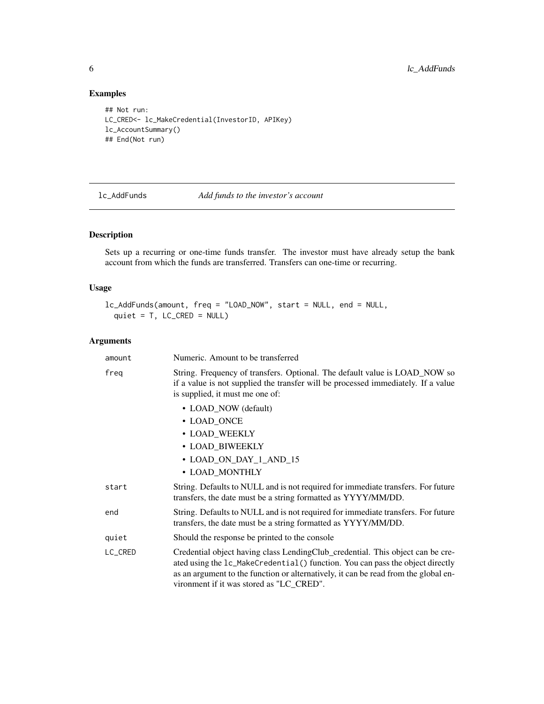### Examples

```
## Not run:
LC_CRED<- lc_MakeCredential(InvestorID, APIKey)
lc_AccountSummary()
## End(Not run)
```
<span id="page-5-1"></span>lc\_AddFunds *Add funds to the investor's account*

#### Description

Sets up a recurring or one-time funds transfer. The investor must have already setup the bank account from which the funds are transferred. Transfers can one-time or recurring.

#### Usage

```
lc_AddFunds(amount, freq = "LOAD_NOW", start = NULL, end = NULL,
  quiet = T, LC_CRED = NULL)
```

| amount  | Numeric. Amount to be transferred                                                                                                                                                                                                                                                                  |
|---------|----------------------------------------------------------------------------------------------------------------------------------------------------------------------------------------------------------------------------------------------------------------------------------------------------|
| freg    | String. Frequency of transfers. Optional. The default value is LOAD_NOW so<br>if a value is not supplied the transfer will be processed immediately. If a value<br>is supplied, it must me one of:                                                                                                 |
|         | • LOAD_NOW (default)                                                                                                                                                                                                                                                                               |
|         | • LOAD_ONCE                                                                                                                                                                                                                                                                                        |
|         | • LOAD_WEEKLY                                                                                                                                                                                                                                                                                      |
|         | • LOAD_BIWEEKLY                                                                                                                                                                                                                                                                                    |
|         | • LOAD_ON_DAY_1_AND_15                                                                                                                                                                                                                                                                             |
|         | • LOAD_MONTHLY                                                                                                                                                                                                                                                                                     |
| start   | String. Defaults to NULL and is not required for immediate transfers. For future<br>transfers, the date must be a string formatted as YYYY/MM/DD.                                                                                                                                                  |
| end     | String. Defaults to NULL and is not required for immediate transfers. For future<br>transfers, the date must be a string formatted as YYYY/MM/DD.                                                                                                                                                  |
| quiet   | Should the response be printed to the console                                                                                                                                                                                                                                                      |
| LC_CRED | Credential object having class LendingClub_credential. This object can be cre-<br>ated using the 1c_MakeCredential() function. You can pass the object directly<br>as an argument to the function or alternatively, it can be read from the global en-<br>vironment if it was stored as "LC_CRED". |

<span id="page-5-0"></span>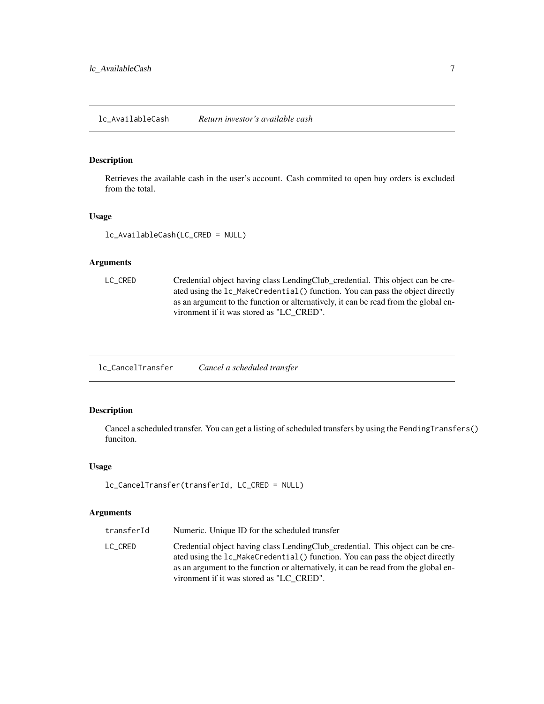<span id="page-6-1"></span><span id="page-6-0"></span>Retrieves the available cash in the user's account. Cash commited to open buy orders is excluded from the total.

#### Usage

lc\_AvailableCash(LC\_CRED = NULL)

#### Arguments

```
LC_CRED Credential object having class LendingClub_credential. This object can be cre-
                  ated using the lc_MakeCredential() function. You can pass the object directly
                  as an argument to the function or alternatively, it can be read from the global en-
                  vironment if it was stored as "LC_CRED".
```
lc\_CancelTransfer *Cancel a scheduled transfer*

#### Description

Cancel a scheduled transfer. You can get a listing of scheduled transfers by using the PendingTransfers() funciton.

#### Usage

```
lc_CancelTransfer(transferId, LC_CRED = NULL)
```

| transferId | Numeric. Unique ID for the scheduled transfer                                                                                                                                                                                                                                                      |
|------------|----------------------------------------------------------------------------------------------------------------------------------------------------------------------------------------------------------------------------------------------------------------------------------------------------|
| LC CRED    | Credential object having class LendingClub_credential. This object can be cre-<br>ated using the 1c_MakeCredential() function. You can pass the object directly<br>as an argument to the function or alternatively, it can be read from the global en-<br>vironment if it was stored as "LC CRED". |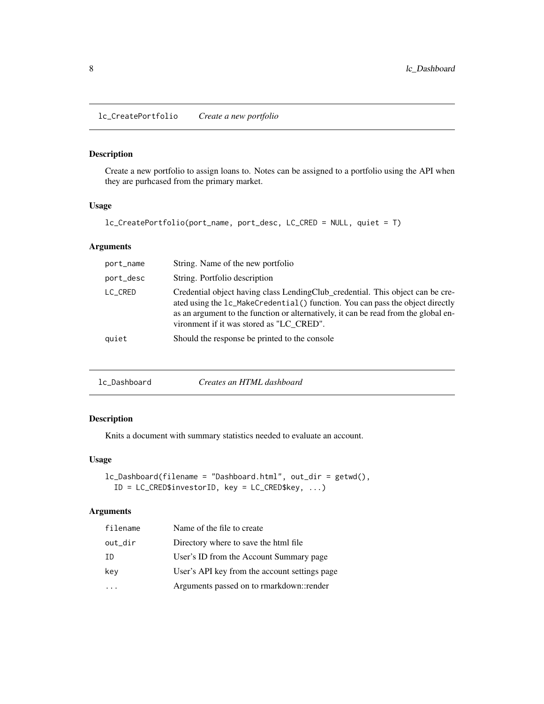<span id="page-7-1"></span><span id="page-7-0"></span>Create a new portfolio to assign loans to. Notes can be assigned to a portfolio using the API when they are purhcased from the primary market.

#### Usage

```
lc_CreatePortfolio(port_name, port_desc, LC_CRED = NULL, quiet = T)
```
#### Arguments

| port_name | String. Name of the new portfolio                                                                                                                                                                                                                                                                  |
|-----------|----------------------------------------------------------------------------------------------------------------------------------------------------------------------------------------------------------------------------------------------------------------------------------------------------|
| port_desc | String. Portfolio description                                                                                                                                                                                                                                                                      |
| LC_CRED   | Credential object having class LendingClub_credential. This object can be cre-<br>ated using the 1c_MakeCredential() function. You can pass the object directly<br>as an argument to the function or alternatively, it can be read from the global en-<br>vironment if it was stored as "LC CRED". |
| quiet     | Should the response be printed to the console                                                                                                                                                                                                                                                      |

<span id="page-7-2"></span>

#### Description

Knits a document with summary statistics needed to evaluate an account.

#### Usage

```
lc_Dashboard(filename = "Dashboard.html", out_dir = getwd(),
  ID = LC_CRED$investorID, key = LC_CRED$key, ...)
```

| filename | Name of the file to create                    |
|----------|-----------------------------------------------|
| out_dir  | Directory where to save the html file.        |
| TD       | User's ID from the Account Summary page       |
| key      | User's API key from the account settings page |
|          | Arguments passed on to rmarkdown::render      |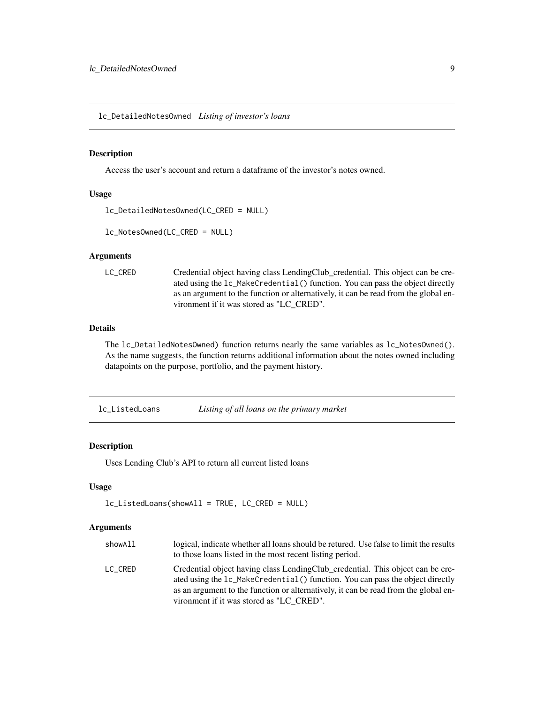<span id="page-8-1"></span><span id="page-8-0"></span>lc\_DetailedNotesOwned *Listing of investor's loans*

#### <span id="page-8-2"></span>Description

Access the user's account and return a dataframe of the investor's notes owned.

#### Usage

```
lc_DetailedNotesOwned(LC_CRED = NULL)
```
lc\_NotesOwned(LC\_CRED = NULL)

#### Arguments

```
LC_CRED Credential object having class LendingClub_credential. This object can be cre-
                  ated using the lc_MakeCredential() function. You can pass the object directly
                  as an argument to the function or alternatively, it can be read from the global en-
                  vironment if it was stored as "LC_CRED".
```
#### Details

The lc\_DetailedNotesOwned) function returns nearly the same variables as lc\_NotesOwned(). As the name suggests, the function returns additional information about the notes owned including datapoints on the purpose, portfolio, and the payment history.

<span id="page-8-3"></span>lc\_ListedLoans *Listing of all loans on the primary market*

#### Description

Uses Lending Club's API to return all current listed loans

#### Usage

```
lc_ListedLoans(showAll = TRUE, LC_CRED = NULL)
```

| showAll | logical, indicate whether all loans should be retured. Use false to limit the results<br>to those loans listed in the most recent listing period.                                                                                                                                                  |
|---------|----------------------------------------------------------------------------------------------------------------------------------------------------------------------------------------------------------------------------------------------------------------------------------------------------|
| LC CRED | Credential object having class LendingClub_credential. This object can be cre-<br>ated using the 1c_MakeCredential() function. You can pass the object directly<br>as an argument to the function or alternatively, it can be read from the global en-<br>vironment if it was stored as "LC CRED". |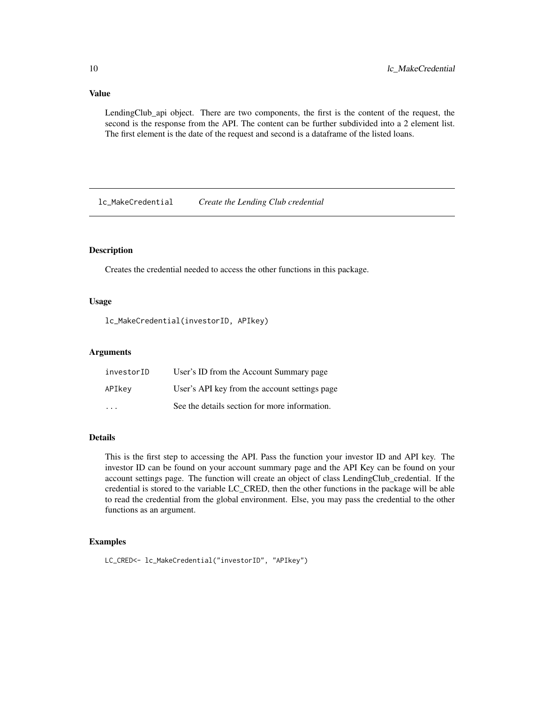#### <span id="page-9-0"></span>Value

LendingClub\_api object. There are two components, the first is the content of the request, the second is the response from the API. The content can be further subdivided into a 2 element list. The first element is the date of the request and second is a dataframe of the listed loans.

<span id="page-9-1"></span>lc\_MakeCredential *Create the Lending Club credential*

#### Description

Creates the credential needed to access the other functions in this package.

#### Usage

lc\_MakeCredential(investorID, APIkey)

#### Arguments

| investorID | User's ID from the Account Summary page       |
|------------|-----------------------------------------------|
| APIkey     | User's API key from the account settings page |
| $\cdot$    | See the details section for more information. |

#### Details

This is the first step to accessing the API. Pass the function your investor ID and API key. The investor ID can be found on your account summary page and the API Key can be found on your account settings page. The function will create an object of class LendingClub\_credential. If the credential is stored to the variable LC\_CRED, then the other functions in the package will be able to read the credential from the global environment. Else, you may pass the credential to the other functions as an argument.

#### Examples

```
LC_CRED<- lc_MakeCredential("investorID", "APIkey")
```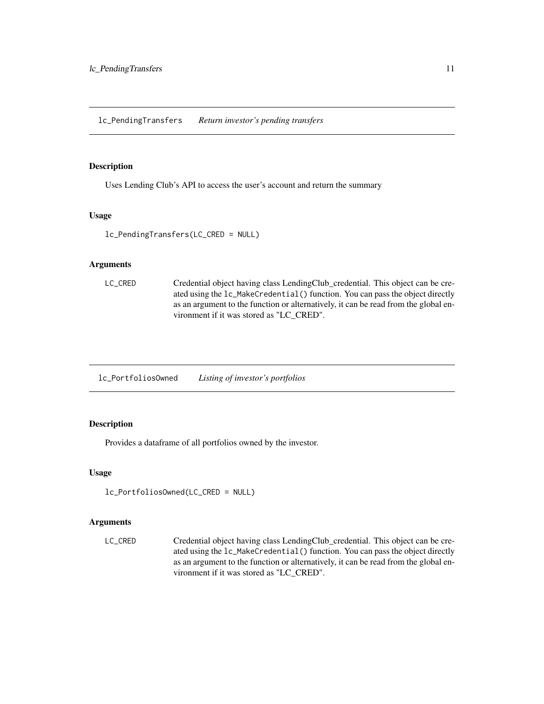<span id="page-10-0"></span>Uses Lending Club's API to access the user's account and return the summary

#### Usage

lc\_PendingTransfers(LC\_CRED = NULL)

#### Arguments

```
LC_CRED Credential object having class LendingClub_credential. This object can be cre-
                  ated using the lc_MakeCredential() function. You can pass the object directly
                  as an argument to the function or alternatively, it can be read from the global en-
                  vironment if it was stored as "LC_CRED".
```
lc\_PortfoliosOwned *Listing of investor's portfolios*

#### Description

Provides a dataframe of all portfolios owned by the investor.

#### Usage

```
lc_PortfoliosOwned(LC_CRED = NULL)
```
#### Arguments

LC\_CRED Credential object having class LendingClub\_credential. This object can be created using the lc\_MakeCredential() function. You can pass the object directly as an argument to the function or alternatively, it can be read from the global environment if it was stored as "LC\_CRED".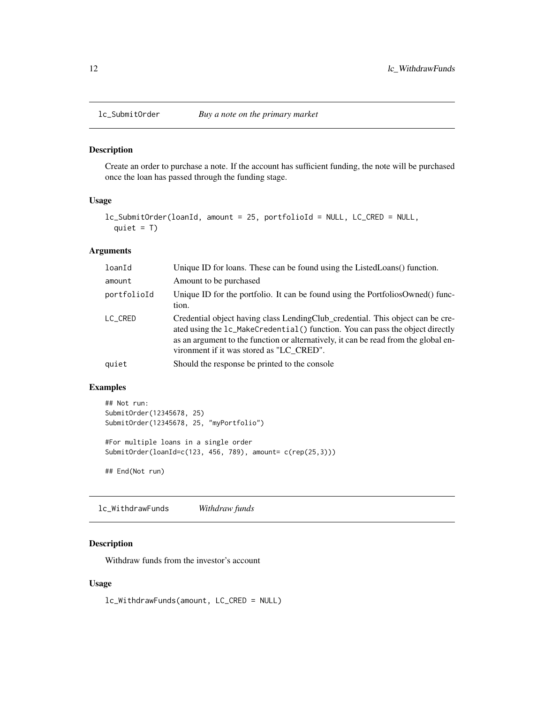<span id="page-11-1"></span><span id="page-11-0"></span>

Create an order to purchase a note. If the account has sufficient funding, the note will be purchased once the loan has passed through the funding stage.

#### Usage

```
lc_SubmitOrder(loanId, amount = 25, portfolioId = NULL, LC_CRED = NULL,
  quiet = T)
```
#### Arguments

| loanId      | Unique ID for loans. These can be found using the ListedLoans() function.                                                                                                                                                                                                                          |
|-------------|----------------------------------------------------------------------------------------------------------------------------------------------------------------------------------------------------------------------------------------------------------------------------------------------------|
| amount      | Amount to be purchased                                                                                                                                                                                                                                                                             |
| portfolioId | Unique ID for the portfolio. It can be found using the PortfoliosOwned() func-<br>tion.                                                                                                                                                                                                            |
| LC_CRED     | Credential object having class LendingClub_credential. This object can be cre-<br>ated using the 1c_MakeCredential() function. You can pass the object directly<br>as an argument to the function or alternatively, it can be read from the global en-<br>vironment if it was stored as "LC CRED". |
| quiet       | Should the response be printed to the console                                                                                                                                                                                                                                                      |

#### Examples

```
## Not run:
SubmitOrder(12345678, 25)
SubmitOrder(12345678, 25, "myPortfolio")
#For multiple loans in a single order
SubmitOrder(loanId=c(123, 456, 789), amount= c(rep(25,3)))
## End(Not run)
```
lc\_WithdrawFunds *Withdraw funds*

#### Description

Withdraw funds from the investor's account

#### Usage

lc\_WithdrawFunds(amount, LC\_CRED = NULL)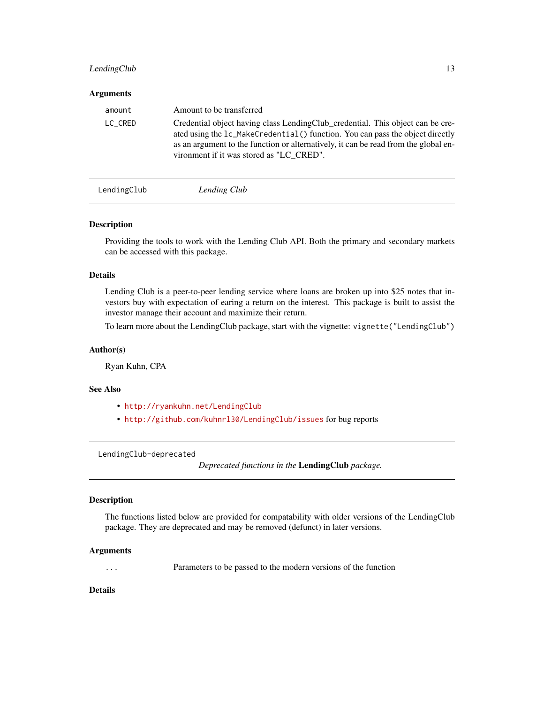#### <span id="page-12-0"></span>LendingClub 13

#### **Arguments**

| amount  | Amount to be transferred                                                                                                                                                                                                                                                                           |
|---------|----------------------------------------------------------------------------------------------------------------------------------------------------------------------------------------------------------------------------------------------------------------------------------------------------|
| LC_CRED | Credential object having class LendingClub_credential. This object can be cre-<br>ated using the 1c_MakeCredential() function. You can pass the object directly<br>as an argument to the function or alternatively, it can be read from the global en-<br>vironment if it was stored as "LC CRED". |
|         |                                                                                                                                                                                                                                                                                                    |

LendingClub *Lending Club*

#### Description

Providing the tools to work with the Lending Club API. Both the primary and secondary markets can be accessed with this package.

#### Details

Lending Club is a peer-to-peer lending service where loans are broken up into \$25 notes that investors buy with expectation of earing a return on the interest. This package is built to assist the investor manage their account and maximize their return.

To learn more about the LendingClub package, start with the vignette: vignette("LendingClub")

#### Author(s)

Ryan Kuhn, CPA

#### See Also

- <http://ryankuhn.net/LendingClub>
- <http://github.com/kuhnrl30/LendingClub/issues> for bug reports

<span id="page-12-1"></span>LendingClub-deprecated

*Deprecated functions in the* LendingClub *package.*

#### Description

The functions listed below are provided for compatability with older versions of the LendingClub package. They are deprecated and may be removed (defunct) in later versions.

#### Arguments

... Parameters to be passed to the modern versions of the function

#### Details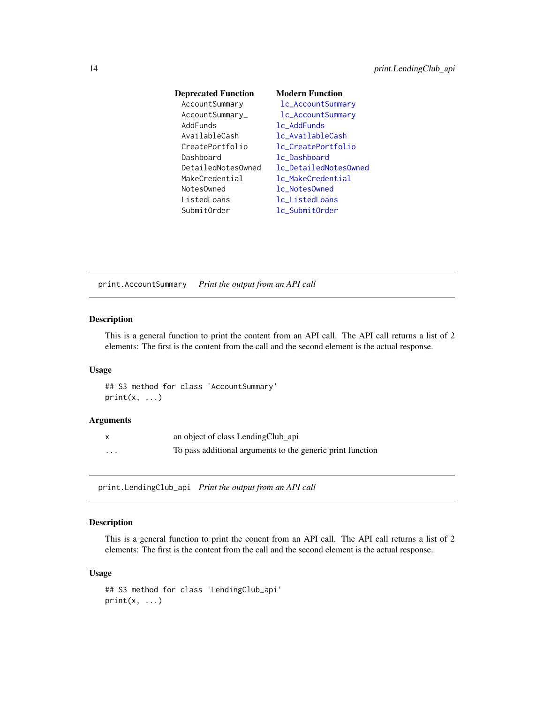<span id="page-13-0"></span>

| <b>Deprecated Function</b> | <b>Modern Function</b> |
|----------------------------|------------------------|
| AccountSummary             | lc_AccountSummary      |
| AccountSummary_            | lc_AccountSummary      |
| AddFunds                   | lc_AddFunds            |
| AvailableCash              | lc_AvailableCash       |
| CreatePortfolio            | lc_CreatePortfolio     |
| Dashboard                  | lc Dashboard           |
| DetailedNotesOwned         | lc_DetailedNotesOwned  |
| MakeCredential             | lc MakeCredential      |
| Notes0wned                 | lc NotesOwned          |
| ListedLoans                | lc ListedLoans         |
| SubmitOrder                | lc SubmitOrder         |

print.AccountSummary *Print the output from an API call*

#### Description

This is a general function to print the content from an API call. The API call returns a list of 2 elements: The first is the content from the call and the second element is the actual response.

#### Usage

## S3 method for class 'AccountSummary'  $print(x, \ldots)$ 

#### Arguments

|   | an object of class LendingClub_api                         |
|---|------------------------------------------------------------|
| . | To pass additional arguments to the generic print function |

print.LendingClub\_api *Print the output from an API call*

### Description

This is a general function to print the conent from an API call. The API call returns a list of 2 elements: The first is the content from the call and the second element is the actual response.

#### Usage

```
## S3 method for class 'LendingClub_api'
print(x, \ldots)
```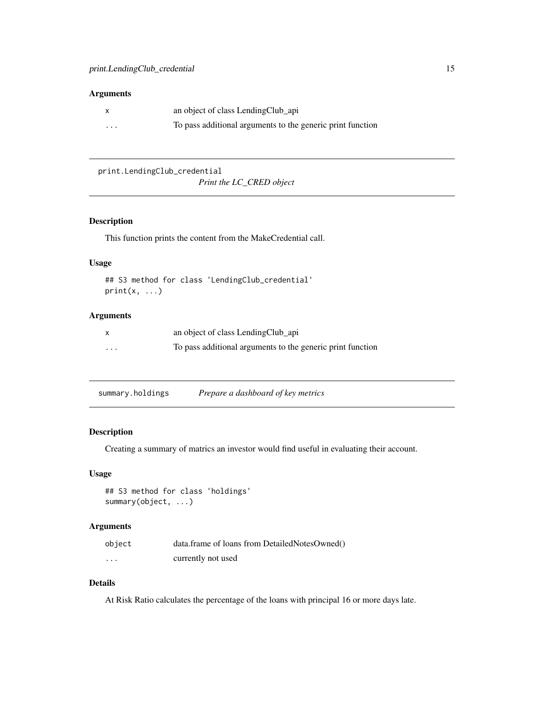#### <span id="page-14-0"></span>Arguments

|          | an object of class LendingClub_api                         |
|----------|------------------------------------------------------------|
| $\cdots$ | To pass additional arguments to the generic print function |

print.LendingClub\_credential

*Print the LC\_CRED object*

#### Description

This function prints the content from the MakeCredential call.

#### Usage

```
## S3 method for class 'LendingClub_credential'
print(x, \ldots)
```
#### Arguments

|          | an object of class LendingClub_api                         |
|----------|------------------------------------------------------------|
| $\cdots$ | To pass additional arguments to the generic print function |

summary.holdings *Prepare a dashboard of key metrics*

#### Description

Creating a summary of matrics an investor would find useful in evaluating their account.

#### Usage

## S3 method for class 'holdings' summary(object, ...)

#### Arguments

| object   | data.frame of loans from DetailedNotesOwned() |
|----------|-----------------------------------------------|
| $\cdots$ | currently not used                            |

#### Details

At Risk Ratio calculates the percentage of the loans with principal 16 or more days late.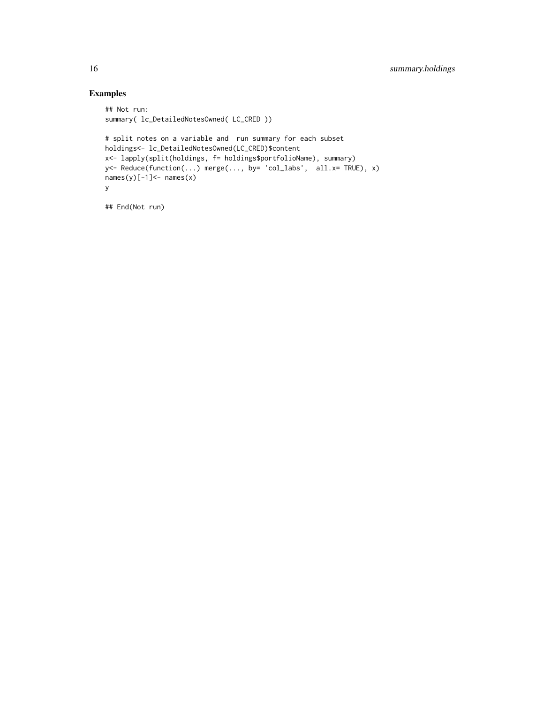#### Examples

```
## Not run:
summary( lc_DetailedNotesOwned( LC_CRED ))
# split notes on a variable and run summary for each subset
holdings<- lc_DetailedNotesOwned(LC_CRED)$content
x<- lapply(split(holdings, f= holdings$portfolioName), summary)
y<- Reduce(function(...) merge(..., by= 'col_labs', all.x= TRUE), x)
names(y)[-1] <- names(x)y
```
## End(Not run)